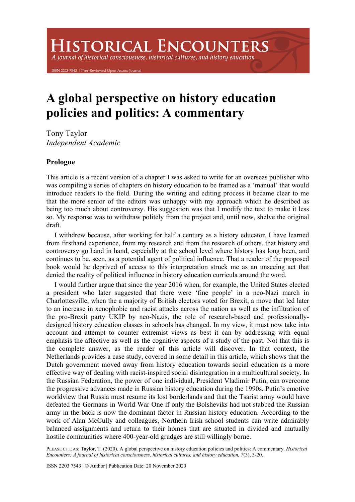# **HISTORICAL ENCOUNTERS**

A journal of historical consciousness, historical cultures, and history education

7543 | Peer-Reviewed Open Access Jou

# **A global perspective on history education policies and politics: A commentary**

Tony Taylor *Independent Academic*

# **Prologue**

This article is a recent version of a chapter I was asked to write for an overseas publisher who was compiling a series of chapters on history education to be framed as a 'manual' that would introduce readers to the field. During the writing and editing process it became clear to me that the more senior of the editors was unhappy with my approach which he described as being too much about controversy. His suggestion was that I modify the text to make it less so. My response was to withdraw politely from the project and, until now, shelve the original draft.

I withdrew because, after working for half a century as a history educator, I have learned from firsthand experience, from my research and from the research of others, that history and controversy go hand in hand, especially at the school level where history has long been, and continues to be, seen, as a potential agent of political influence. That a reader of the proposed book would be deprived of access to this interpretation struck me as an unseeing act that denied the reality of political influence in history education curricula around the word.

I would further argue that since the year 2016 when, for example, the United States elected a president who later suggested that there were 'fine people' in a neo-Nazi march in Charlottesville, when the a majority of British electors voted for Brexit, a move that led later to an increase in xenophobic and racist attacks across the nation as well as the infiltration of the pro-Brexit party UKIP by neo-Nazis, the role of research-based and professionallydesigned history education classes in schools has changed. In my view, it must now take into account and attempt to counter extremist views as best it can by addressing with equal emphasis the affective as well as the cognitive aspects of a study of the past. Not that this is the complete answer, as the reader of this article will discover. In that context, the Netherlands provides a case study, covered in some detail in this article, which shows that the Dutch government moved away from history education towards social education as a more effective way of dealing with racist-inspired social disintegration in a multicultural society. In the Russian Federation, the power of one individual, President Vladimir Putin, can overcome the progressive advances made in Russian history education during the 1990s. Putin's emotive worldview that Russia must resume its lost borderlands and that the Tsarist army would have defeated the Germans in World War One if only the Bolsheviks had not stabbed the Russian army in the back is now the dominant factor in Russian history education. According to the work of Alan McCully and colleagues, Northern Irish school students can write admirably balanced assignments and return to their homes that are situated in divided and mutually hostile communities where 400-year-old grudges are still willingly borne.

PLEASE CITE AS: Taylor, T. (2020). A global perspective on history education policies and politics: A commentary. *Historical Encounters: A journal of historical consciousness, historical cultures, and history education, 7*(3), 3-20.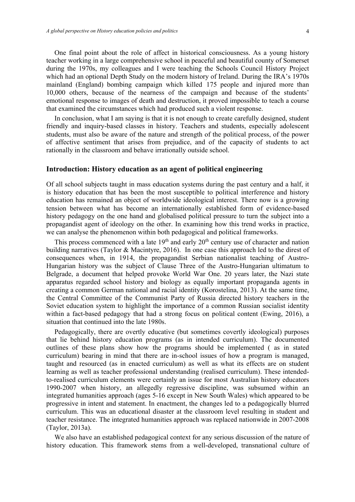One final point about the role of affect in historical consciousness. As a young history teacher working in a large comprehensive school in peaceful and beautiful county of Somerset during the 1970s, my colleagues and I were teaching the Schools Council History Project which had an optional Depth Study on the modern history of Ireland. During the IRA's 1970s mainland (England) bombing campaign which killed 175 people and injured more than 10,000 others, because of the nearness of the campaign and because of the students' emotional response to images of death and destruction, it proved impossible to teach a course that examined the circumstances which had produced such a violent response.

In conclusion, what I am saying is that it is not enough to create carefully designed, student friendly and inquiry-based classes in history. Teachers and students, especially adolescent students, must also be aware of the nature and strength of the political process, of the power of affective sentiment that arises from prejudice, and of the capacity of students to act rationally in the classroom and behave irrationally outside school.

# **Introduction: History education as an agent of political engineering**

Of all school subjects taught in mass education systems during the past century and a half, it is history education that has been the most susceptible to political interference and history education has remained an object of worldwide ideological interest. There now is a growing tension between what has become an internationally established form of evidence-based history pedagogy on the one hand and globalised political pressure to turn the subject into a propagandist agent of ideology on the other. In examining how this trend works in practice, we can analyse the phenomenon within both pedagogical and political frameworks.

This process commenced with a late  $19<sup>th</sup>$  and early  $20<sup>th</sup>$  century use of character and nation building narratives (Taylor & Macintyre, 2016). In one case this approach led to the direst of consequences when, in 1914, the propagandist Serbian nationalist teaching of Austro-Hungarian history was the subject of Clause Three of the Austro-Hungarian ultimatum to Belgrade, a document that helped provoke World War One. 20 years later, the Nazi state apparatus regarded school history and biology as equally important propaganda agents in creating a common German national and racial identity (Korostelina, 2013). At the same time, the Central Committee of the Communist Party of Russia directed history teachers in the Soviet education system to highlight the importance of a common Russian socialist identity within a fact-based pedagogy that had a strong focus on political content (Ewing, 2016), a situation that continued into the late 1980s.

Pedagogically, there are overtly educative (but sometimes covertly ideological) purposes that lie behind history education programs (as in intended curriculum). The documented outlines of these plans show how the programs should be implemented ( as in stated curriculum) bearing in mind that there are in-school issues of how a program is managed, taught and resourced (as in enacted curriculum) as well as what its effects are on student learning as well as teacher professional understanding (realised curriculum). These intendedto-realised curriculum elements were certainly an issue for most Australian history educators 1990-2007 when history, an allegedly regressive discipline, was subsumed within an integrated humanities approach (ages 5-16 except in New South Wales) which appeared to be progressive in intent and statement. In enactment, the changes led to a pedagogically blurred curriculum. This was an educational disaster at the classroom level resulting in student and teacher resistance. The integrated humanities approach was replaced nationwide in 2007-2008 (Taylor, 2013a).

We also have an established pedagogical context for any serious discussion of the nature of history education. This framework stems from a well-developed, transnational culture of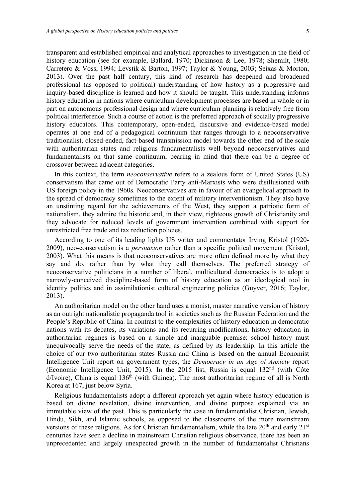transparent and established empirical and analytical approaches to investigation in the field of history education (see for example, Ballard, 1970; Dickinson & Lee, 1978; Shemilt, 1980; Carretero & Voss, 1994; Levstik & Barton, 1997; Taylor & Young, 2003; Seixas & Morton, 2013). Over the past half century, this kind of research has deepened and broadened professional (as opposed to political) understanding of how history as a progressive and inquiry-based discipline is learned and how it should be taught. This understanding informs history education in nations where curriculum development processes are based in whole or in part on autonomous professional design and where curriculum planning is relatively free from political interference. Such a course of action is the preferred approach of socially progressive history educators. This contemporary, open-ended, discursive and evidence-based model operates at one end of a pedagogical continuum that ranges through to a neoconservative traditionalist, closed-ended, fact-based transmission model towards the other end of the scale with authoritarian states and religious fundamentalists well beyond neoconservatives and fundamentalists on that same continuum, bearing in mind that there can be a degree of crossover between adjacent categories.

In this context, the term *neoconservative* refers to a zealous form of United States (US) conservatism that came out of Democratic Party anti-Marxists who were disillusioned with US foreign policy in the 1960s. Neoconservatives are in favour of an evangelical approach to the spread of democracy sometimes to the extent of military interventionism. They also have an unstinting regard for the achievements of the West, they support a patriotic form of nationalism, they admire the historic and, in their view, righteous growth of Christianity and they advocate for reduced levels of government intervention combined with support for unrestricted free trade and tax reduction policies.

According to one of its leading lights US writer and commentator Irving Kristol (1920- 2009), neo-conservatism is a *persuasion* rather than a specific political movement (Kristol, 2003). What this means is that neoconservatives are more often defined more by what they say and do, rather than by what they call themselves. The preferred strategy of neoconservative politicians in a number of liberal, multicultural democracies is to adopt a narrowly-conceived discipline-based form of history education as an ideological tool in identity politics and in assimilationist cultural engineering policies (Guyver, 2016; Taylor, 2013).

An authoritarian model on the other hand uses a monist, master narrative version of history as an outright nationalistic propaganda tool in societies such as the Russian Federation and the People's Republic of China. In contrast to the complexities of history education in democratic nations with its debates, its variations and its recurring modifications, history education in authoritarian regimes is based on a simple and inarguable premise: school history must unequivocally serve the needs of the state, as defined by its leadership. In this article the choice of our two authoritarian states Russia and China is based on the annual Economist Intelligence Unit report on government types, the *Democracy in an Age of Anxiety* report (Economic Intelligence Unit, 2015). In the 2015 list, Russia is equal  $132<sup>nd</sup>$  (with Côte  $d$ /Ivoire), China is equal  $136<sup>th</sup>$  (with Guinea). The most authoritarian regime of all is North Korea at 167, just below Syria.

Religious fundamentalists adopt a different approach yet again where history education is based on divine revelation, divine intervention, and divine purpose explained via an immutable view of the past. This is particularly the case in fundamentalist Christian, Jewish, Hindu, Sikh, and Islamic schools, as opposed to the classrooms of the more mainstream versions of these religions. As for Christian fundamentalism, while the late  $20<sup>th</sup>$  and early  $21<sup>st</sup>$ centuries have seen a decline in mainstream Christian religious observance, there has been an unprecedented and largely unexpected growth in the number of fundamentalist Christians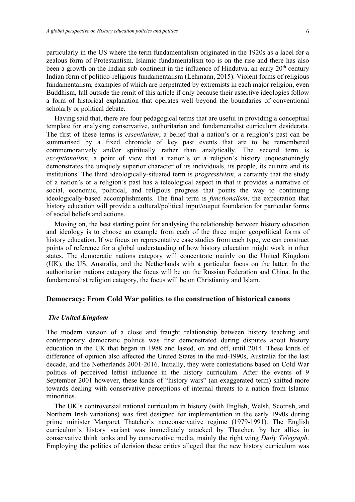scholarly or political debate.

particularly in the US where the term fundamentalism originated in the 1920s as a label for a zealous form of Protestantism. Islamic fundamentalism too is on the rise and there has also been a growth on the Indian sub-continent in the influence of Hindutva, an early  $20<sup>th</sup>$  century Indian form of politico-religious fundamentalism (Lehmann, 2015). Violent forms of religious fundamentalism, examples of which are perpetrated by extremists in each major religion, even Buddhism, fall outside the remit of this article if only because their assertive ideologies follow

Having said that, there are four pedagogical terms that are useful in providing a conceptual template for analysing conservative, authoritarian and fundamentalist curriculum desiderata. The first of these terms is *essentialism*, a belief that a nation's or a religion's past can be summarised by a fixed chronicle of key past events that are to be remembered commemoratively and/or spiritually rather than analytically. The second term is *exceptionalism*, a point of view that a nation's or a religion's history unquestioningly demonstrates the uniquely superior character of its individuals, its people, its culture and its institutions. The third ideologically-situated term is *progressivism*, a certainty that the study of a nation's or a religion's past has a teleological aspect in that it provides a narrative of social, economic, political, and religious progress that points the way to continuing ideologically-based accomplishments. The final term is *functionalism*, the expectation that history education will provide a cultural/political input/output foundation for particular forms of social beliefs and actions.

a form of historical explanation that operates well beyond the boundaries of conventional

Moving on, the best starting point for analysing the relationship between history education and ideology is to choose an example from each of the three major geopolitical forms of history education. If we focus on representative case studies from each type, we can construct points of reference for a global understanding of how history education might work in other states. The democratic nations category will concentrate mainly on the United Kingdom (UK), the US, Australia, and the Netherlands with a particular focus on the latter. In the authoritarian nations category the focus will be on the Russian Federation and China. In the fundamentalist religion category, the focus will be on Christianity and Islam.

# **Democracy: From Cold War politics to the construction of historical canons**

#### *The United Kingdom*

The modern version of a close and fraught relationship between history teaching and contemporary democratic politics was first demonstrated during disputes about history education in the UK that began in 1988 and lasted, on and off, until 2014. These kinds of difference of opinion also affected the United States in the mid-1990s, Australia for the last decade, and the Netherlands 2001-2016. Initially, they were contestations based on Cold War politics of perceived leftist influence in the history curriculum. After the events of 9 September 2001 however, these kinds of "history wars" (an exaggerated term) shifted more towards dealing with conservative perceptions of internal threats to a nation from Islamic minorities.

The UK's controversial national curriculum in history (with English, Welsh, Scottish, and Northern Irish variations) was first designed for implementation in the early 1990s during prime minister Margaret Thatcher's neoconservative regime (1979-1991). The English curriculum's history variant was immediately attacked by Thatcher, by her allies in conservative think tanks and by conservative media, mainly the right wing *Daily Telegraph*. Employing the politics of derision these critics alleged that the new history curriculum was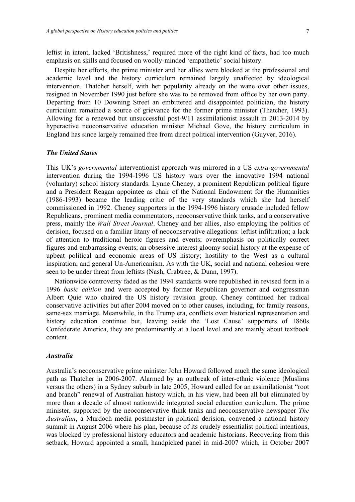leftist in intent, lacked 'Britishness,' required more of the right kind of facts, had too much emphasis on skills and focused on woolly-minded 'empathetic' social history.

Despite her efforts, the prime minister and her allies were blocked at the professional and academic level and the history curriculum remained largely unaffected by ideological intervention. Thatcher herself, with her popularity already on the wane over other issues, resigned in November 1990 just before she was to be removed from office by her own party. Departing from 10 Downing Street an embittered and disappointed politician, the history curriculum remained a source of grievance for the former prime minister (Thatcher, 1993). Allowing for a renewed but unsuccessful post-9/11 assimilationist assault in 2013-2014 by hyperactive neoconservative education minister Michael Gove, the history curriculum in England has since largely remained free from direct political intervention (Guyver, 2016).

#### *The United States*

This UK's *governmental* interventionist approach was mirrored in a US *extra-governmental*  intervention during the 1994-1996 US history wars over the innovative 1994 national (voluntary) school history standards. Lynne Cheney, a prominent Republican political figure and a President Reagan appointee as chair of the National Endowment for the Humanities (1986-1993) became the leading critic of the very standards which she had herself commissioned in 1992. Cheney supporters in the 1994-1996 history crusade included fellow Republicans, prominent media commentators, neoconservative think tanks, and a conservative press, mainly the *Wall Street Journal*. Cheney and her allies, also employing the politics of derision, focused on a familiar litany of neoconservative allegations: leftist infiltration; a lack of attention to traditional heroic figures and events; overemphasis on politically correct figures and embarrassing events; an obsessive interest gloomy social history at the expense of upbeat political and economic areas of US history; hostility to the West as a cultural inspiration; and general Un-Americanism. As with the UK, social and national cohesion were seen to be under threat from leftists (Nash, Crabtree, & Dunn, 1997).

Nationwide controversy faded as the 1994 standards were republished in revised form in a 1996 *basic edition* and were accepted by former Republican governor and congressman Albert Quie who chaired the US history revision group. Cheney continued her radical conservative activities but after 2004 moved on to other causes, including, for family reasons, same-sex marriage. Meanwhile, in the Trump era, conflicts over historical representation and history education continue but, leaving aside the 'Lost Cause' supporters of 1860s Confederate America, they are predominantly at a local level and are mainly about textbook content.

#### *Australia*

Australia's neoconservative prime minister John Howard followed much the same ideological path as Thatcher in 2006-2007. Alarmed by an outbreak of inter-ethnic violence (Muslims versus the others) in a Sydney suburb in late 2005, Howard called for an assimilationist "root and branch" renewal of Australian history which, in his view, had been all but eliminated by more than a decade of almost nationwide integrated social education curriculum. The prime minister, supported by the neoconservative think tanks and neoconservative newspaper *The Australian*, a Murdoch media postmaster in political derision, convened a national history summit in August 2006 where his plan, because of its crudely essentialist political intentions, was blocked by professional history educators and academic historians. Recovering from this setback, Howard appointed a small, handpicked panel in mid-2007 which, in October 2007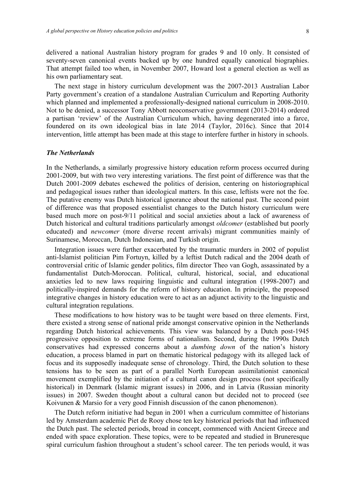delivered a national Australian history program for grades 9 and 10 only. It consisted of seventy-seven canonical events backed up by one hundred equally canonical biographies. That attempt failed too when, in November 2007, Howard lost a general election as well as his own parliamentary seat.

The next stage in history curriculum development was the 2007-2013 Australian Labor Party government's creation of a standalone Australian Curriculum and Reporting Authority which planned and implemented a professionally-designed national curriculum in 2008-2010. Not to be denied, a successor Tony Abbott neoconservative government (2013-2014) ordered a partisan 'review' of the Australian Curriculum which, having degenerated into a farce, foundered on its own ideological bias in late 2014 (Taylor, 2016c). Since that 2014 intervention, little attempt has been made at this stage to interfere further in history in schools.

#### *The Netherlands*

In the Netherlands, a similarly progressive history education reform process occurred during 2001-2009, but with two very interesting variations. The first point of difference was that the Dutch 2001-2009 debates eschewed the politics of derision, centering on historiographical and pedagogical issues rather than ideological matters. In this case, leftists were not the foe. The putative enemy was Dutch historical ignorance about the national past. The second point of difference was that proposed essentialist changes to the Dutch history curriculum were based much more on post-9/11 political and social anxieties about a lack of awareness of Dutch historical and cultural traditions particularly amongst *oldcomer* (established but poorly educated) and *newcomer* (more diverse recent arrivals) migrant communities mainly of Surinamese, Moroccan, Dutch Indonesian, and Turkish origin.

Integration issues were further exacerbated by the traumatic murders in 2002 of populist anti-Islamist politician Pim Fortuyn, killed by a leftist Dutch radical and the 2004 death of controversial critic of Islamic gender politics, film director Theo van Gogh, assassinated by a fundamentalist Dutch-Moroccan. Political, cultural, historical, social, and educational anxieties led to new laws requiring linguistic and cultural integration (1998-2007) and politically-inspired demands for the reform of history education. In principle, the proposed integrative changes in history education were to act as an adjunct activity to the linguistic and cultural integration regulations.

These modifications to how history was to be taught were based on three elements. First, there existed a strong sense of national pride amongst conservative opinion in the Netherlands regarding Dutch historical achievements. This view was balanced by a Dutch post-1945 progressive opposition to extreme forms of nationalism. Second, during the 1990s Dutch conservatives had expressed concerns about a *dumbing down* of the nation's history education, a process blamed in part on thematic historical pedagogy with its alleged lack of focus and its supposedly inadequate sense of chronology. Third, the Dutch solution to these tensions has to be seen as part of a parallel North European assimilationist canonical movement exemplified by the initiation of a cultural canon design process (not specifically historical) in Denmark (Islamic migrant issues) in 2006, and in Latvia (Russian minority issues) in 2007. Sweden thought about a cultural canon but decided not to proceed (see Koivunen & Marsio for a very good Finnish discussion of the canon phenomenon).

The Dutch reform initiative had begun in 2001 when a curriculum committee of historians led by Amsterdam academic Piet de Rooy chose ten key historical periods that had influenced the Dutch past. The selected periods, broad in concept, commenced with Ancient Greece and ended with space exploration. These topics, were to be repeated and studied in Bruneresque spiral curriculum fashion throughout a student's school career. The ten periods would, it was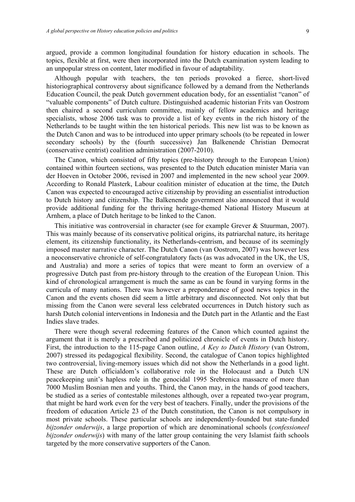argued, provide a common longitudinal foundation for history education in schools. The topics, flexible at first, were then incorporated into the Dutch examination system leading to an unpopular stress on content, later modified in favour of adaptability.

Although popular with teachers, the ten periods provoked a fierce, short-lived historiographical controversy about significance followed by a demand from the Netherlands Education Council, the peak Dutch government education body, for an essentialist "canon" of "valuable components" of Dutch culture. Distinguished academic historian Frits van Oostrom then chaired a second curriculum committee, mainly of fellow academics and heritage specialists, whose 2006 task was to provide a list of key events in the rich history of the Netherlands to be taught within the ten historical periods. This new list was to be known as the Dutch Canon and was to be introduced into upper primary schools (to be repeated in lower secondary schools) by the (fourth successive) Jan Balkenende Christian Democrat (conservative centrist) coalition administration (2007-2010).

The Canon, which consisted of fifty topics (pre-history through to the European Union) contained within fourteen sections, was presented to the Dutch education minister Maria van der Hoeven in October 2006, revised in 2007 and implemented in the new school year 2009. According to Ronald Plasterk, Labour coalition minister of education at the time, the Dutch Canon was expected to encouraged active citizenship by providing an essentialist introduction to Dutch history and citizenship. The Balkenende government also announced that it would provide additional funding for the thriving heritage-themed National History Museum at Arnhem, a place of Dutch heritage to be linked to the Canon.

This initiative was controversial in character (see for example Grever & Stuurman, 2007). This was mainly because of its conservative political origins, its patriarchal nature, its heritage element, its citizenship functionality, its Netherlands-centrism, and because of its seemingly imposed master narrative character. The Dutch Canon (van Oostrom, 2007) was however less a neoconservative chronicle of self-congratulatory facts (as was advocated in the UK, the US, and Australia) and more a series of topics that were meant to form an overview of a progressive Dutch past from pre-history through to the creation of the European Union. This kind of chronological arrangement is much the same as can be found in varying forms in the curricula of many nations. There was however a preponderance of good news topics in the Canon and the events chosen did seem a little arbitrary and disconnected. Not only that but missing from the Canon were several less celebrated occurrences in Dutch history such as harsh Dutch colonial interventions in Indonesia and the Dutch part in the Atlantic and the East Indies slave trades.

There were though several redeeming features of the Canon which counted against the argument that it is merely a prescribed and politicized chronicle of events in Dutch history. First, the introduction to the 115-page Canon outline, *A Key to Dutch History* (van Ostrom, 2007) stressed its pedagogical flexibility. Second, the catalogue of Canon topics highlighted two controversial, living-memory issues which did not show the Netherlands in a good light. These are Dutch officialdom's collaborative role in the Holocaust and a Dutch UN peacekeeping unit's hapless role in the genocidal 1995 Srebrenica massacre of more than 7000 Muslim Bosnian men and youths. Third, the Canon may, in the hands of good teachers, be studied as a series of contestable milestones although, over a repeated two-year program, that might be hard work even for the very best of teachers. Finally, under the provisions of the freedom of education Article 23 of the Dutch constitution, the Canon is not compulsory in most private schools. These particular schools are independently-founded but state-funded *bijzonder onderwijs*, a large proportion of which are denominational schools (*confessioneel bijzonder onderwijs*) with many of the latter group containing the very Islamist faith schools targeted by the more conservative supporters of the Canon.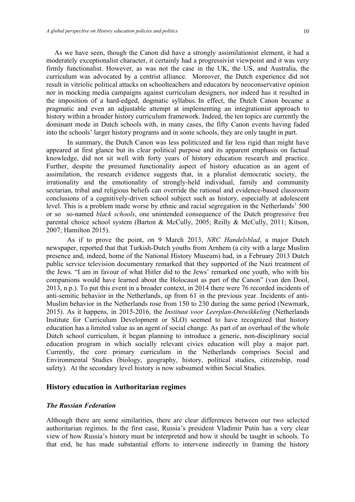As we have seen, though the Canon did have a strongly assimilationist element, it had a moderately exceptionalist character, it certainly had a progressivist viewpoint and it was very firmly functionalist. However, as was not the case in the UK, the US, and Australia, the curriculum was advocated by a centrist alliance. Moreover, the Dutch experience did not result in vitriolic political attacks on schoolteachers and educators by neoconservative opinion nor in mocking media campaigns against curriculum designers, nor indeed has it resulted in the imposition of a hard-edged, dogmatic syllabus. In effect, the Dutch Canon became a pragmatic and even an adjustable attempt at implementing an integrationist approach to history within a broader history curriculum framework. Indeed, the ten topics are currently the dominant mode in Dutch schools with, in many cases, the fifty Canon events having faded into the schools' larger history programs and in some schools, they are only taught in part.

In summary, the Dutch Canon was less politicized and far less rigid than might have appeared at first glance but its clear political purpose and its apparent emphasis on factual knowledge, did not sit well with forty years of history education research and practice. Further, despite the presumed functionality aspect of history education as an agent of assimilation, the research evidence suggests that, in a pluralist democratic society, the irrationality and the emotionality of strongly-held individual, family and community sectarian, tribal and religious beliefs can override the rational and evidence-based classroom conclusions of a cognitively-driven school subject such as history, especially at adolescent level. This is a problem made worse by ethnic and racial segregation in the Netherlands' 500 or so so-named *black schools*, one unintended consequence of the Dutch progressive free parental choice school system (Barton & McCully, 2005; Reilly & McCully, 2011; Kitson, 2007; Hamilton 2015).

As if to prove the point, on 9 March 2013, *NRC Handelsblad*, a major Dutch newspaper, reported that that Turkish-Dutch youths from Arnhem (a city with a large Muslim presence and, indeed, home of the National History Museum) had, in a February 2013 Dutch public service television documentary remarked that they supported of the Nazi treatment of the Jews. "I am in favour of what Hitler did to the Jews' remarked one youth, who with his companions would have learned about the Holocaust as part of the Canon" (van den Dool, 2013, n.p.). To put this event in a broader context, in 2014 there were 76 recorded incidents of anti-semitic behavior in the Netherlands, up from 61 in the previous year. Incidents of anti-Muslim behavior in the Netherlands rose from 150 to 230 during the same period (Newmark, 2015). As it happens, in 2015-2016, the *Instituut voor Leerplan-Ontwikkeling* (Netherlands Institute for Curriculum Development or SLO) seemed to have recognized that history education has a limited value as an agent of social change. As part of an overhaul of the whole Dutch school curriculum, it began planning to introduce a generic, non-disciplinary social education program in which socially relevant civics education will play a major part. Currently, the core primary curriculum in the Netherlands comprises Social and Environmental Studies (biology, geography, history, political studies, citizenship, road safety). At the secondary level history is now subsumed within Social Studies.

#### **History education in Authoritarian regimes**

# *The Russian Federation*

Although there are some similarities, there are clear differences between our two selected authoritarian regimes. In the first case, Russia's president Vladimir Putin has a very clear view of how Russia's history must be interpreted and how it should be taught in schools. To that end, he has made substantial efforts to intervene indirectly in framing the history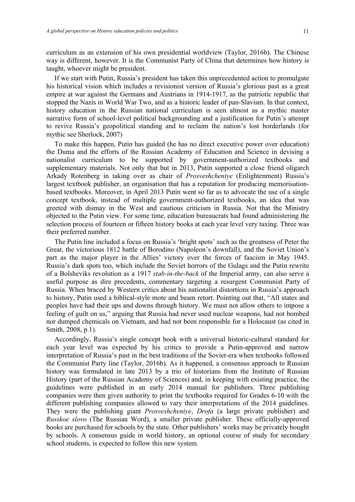curriculum as an extension of his own presidential worldview (Taylor, 2016b). The Chinese way is different, however. It is the Communist Party of China that determines how history is taught, whoever might be president.

If we start with Putin, Russia's president has taken this unprecedented action to promulgate his historical vision which includes a revisionist version of Russia's glorious past as a great empire at war against the Germans and Austrians in 1914-1917, as the patriotic republic that stopped the Nazis in World War Two, and as a historic leader of pan-Slavism. In that context, history education in the Russian national curriculum is seen almost as a mythic master narrative form of school-level political backgrounding and a justification for Putin's attempt to revive Russia's geopolitical standing and to reclaim the nation's lost borderlands (for mythic see Sherlock, 2007)

To make this happen, Putin has guided (he has no direct executive power over education) the Duma and the efforts of the Russian Academy of Education and Science in devising a nationalist curriculum to be supported by government-authorized textbooks and supplementary materials. Not only that but in 2013, Putin supported a close friend oligarch Arkady Rotenberg in taking over as chair of *Prosveshcheniye* (Enlightenment) Russia's largest textbook publisher, an organisation that has a reputation for producing memorisationbased textbooks. Moreover, in April 2013 Putin went so far as to advocate the use of a single concept textbook, instead of multiple government-authorized textbooks, an idea that was greeted with dismay in the West and cautious criticism in Russia. Not that the Ministry objected to the Putin view. For some time, education bureaucrats had found administering the selection process of fourteen or fifteen history books at each year level very taxing. Three was their preferred number.

The Putin line included a focus on Russia's 'bright spots' such as the greatness of Peter the Great, the victorious 1812 battle of Borodino (Napoleon's downfall), and the Soviet Union's part as the major player in the Allies' victory over the forces of fascism in May 1945. Russia's dark spots too, which include the Soviet horrors of the Gulags and the Putin rewrite of a Bolsheviks revolution as a 1917 *stab-in-the-back* of the Imperial army, can also serve a useful purpose as dire precedents, commentary targeting a resurgent Communist Party of Russia. When braced by Western critics about his nationalist distortions in Russia's approach to history, Putin used a biblical-style mote and beam retort. Pointing out that, "All states and peoples have had their ups and downs through history. We must not allow others to impose a feeling of guilt on us," arguing that Russia had never used nuclear weapons, had not bombed nor dumped chemicals on Vietnam, and had not been responsible for a Holocaust (as cited in Smith, 2008, p.1).

Accordingly, Russia's single concept book with a universal historic-cultural standard for each year level was expected by his critics to provide a Putin-approved and narrow interpretation of Russia's past in the best traditions of the Soviet-era when textbooks followed the Communist Party line (Taylor, 2016b). As it happened, a consensus approach to Russian history was formulated in late 2013 by a trio of historians from the Institute of Russian History (part of the Russian Academy of Sciences) and, in keeping with existing practice, the guidelines were published in an early 2014 manual for publishers. Three publishing companies were then given authority to print the textbooks required for Grades 6-10 with the different publishing companies allowed to vary their interpretations of the 2014 guidelines. They were the publishing giant *Prosveshcheniye*, *Drofa* (a large private publisher) and *Russkoe slovo* (The Russian Word), a smaller private publisher. These officially-approved books are purchased for schools by the state. Other publishers' works may be privately bought by schools. A consensus guide in world history, an optional course of study for secondary school students, is expected to follow this new system.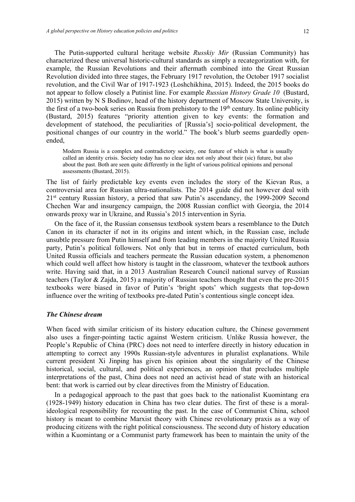The Putin-supported cultural heritage website *Russkiy Mir* (Russian Community) has characterized these universal historic-cultural standards as simply a recategorization with, for example, the Russian Revolutions and their aftermath combined into the Great Russian Revolution divided into three stages, the February 1917 revolution, the October 1917 socialist revolution, and the Civil War of 1917-1923 (Loshchikhina, 2015). Indeed, the 2015 books do not appear to follow closely a Putinist line. For example *Russian History Grade 10* (Bustard, 2015) written by N S Bodinov, head of the history department of Moscow State University, is the first of a two-book series on Russia from prehistory to the 19<sup>th</sup> century. Its online publicity (Bustard, 2015) features "priority attention given to key events: the formation and development of statehood, the peculiarities of [Russia's] socio-political development, the positional changes of our country in the world." The book's blurb seems guardedly openended,

Modern Russia is a complex and contradictory society, one feature of which is what is usually called an identity crisis. Society today has no clear idea not only about their (sic) future, but also about the past. Both are seen quite differently in the light of various political opinions and personal assessments (Bustard, 2015).

The list of fairly predictable key events even includes the story of the Kievan Rus, a controversial area for Russian ultra-nationalists. The 2014 guide did not however deal with  $21<sup>st</sup>$  century Russian history, a period that saw Putin's ascendancy, the 1999-2009 Second Chechen War and insurgency campaign, the 2008 Russian conflict with Georgia, the 2014 onwards proxy war in Ukraine, and Russia's 2015 intervention in Syria.

On the face of it, the Russian consensus textbook system bears a resemblance to the Dutch Canon in its character if not in its origins and intent which, in the Russian case, include unsubtle pressure from Putin himself and from leading members in the majority United Russia party, Putin's political followers. Not only that but in terms of enacted curriculum, both United Russia officials and teachers permeate the Russian education system, a phenomenon which could well affect how history is taught in the classroom, whatever the textbook authors write. Having said that, in a 2013 Australian Research Council national survey of Russian teachers (Taylor & Zajda, 2015) a majority of Russian teachers thought that even the pre-2015 textbooks were biased in favor of Putin's 'bright spots' which suggests that top-down influence over the writing of textbooks pre-dated Putin's contentious single concept idea.

#### *The Chinese dream*

When faced with similar criticism of its history education culture, the Chinese government also uses a finger-pointing tactic against Western criticism. Unlike Russia however, the People's Republic of China (PRC) does not need to interfere directly in history education in attempting to correct any 1990s Russian-style adventures in pluralist explanations. While current president Xi Jinping has given his opinion about the singularity of the Chinese historical, social, cultural, and political experiences, an opinion that precludes multiple interpretations of the past, China does not need an activist head of state with an historical bent: that work is carried out by clear directives from the Ministry of Education.

In a pedagogical approach to the past that goes back to the nationalist Kuomintang era (1928-1949) history education in China has two clear duties. The first of these is a moralideological responsibility for recounting the past. In the case of Communist China, school history is meant to combine Marxist theory with Chinese revolutionary praxis as a way of producing citizens with the right political consciousness. The second duty of history education within a Kuomintang or a Communist party framework has been to maintain the unity of the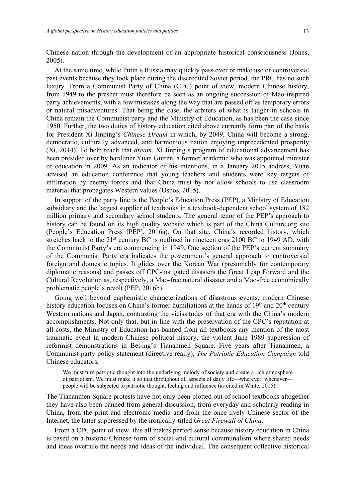Chinese nation through the development of an appropriate historical consciousness (Jones, 2005).

At the same time, while Putin's Russia may quickly pass over or make use of controversial past events because they took place during the discredited Soviet period, the PRC has no such luxury. From a Communist Party of China (CPC) point of view, modern Chinese history, from 1949 to the present must therefore be seen as an ongoing succession of Mao-inspired party achievements, with a few mistakes along the way that are passed off as temporary errors or natural misadventures. That being the case, the arbiters of what is taught in schools in China remain the Communist party and the Ministry of Education, as has been the case since 1950. Further, the two duties of history education cited above currently form part of the basis for President Xi Jinping's *Chinese Dream* in which, by 2049, China will become a strong, democratic, culturally advanced, and harmonious nation enjoying unprecedented prosperity (Xi, 2014). To help reach that *dream*, Xi Jinping's program of educational advancement has been presided over by hardliner Yuan Guiren, a former academic who was appointed minister of education in 2009. As an indicator of his intentions, in a January 2015 address, Yuan advised an education conference that young teachers and students were key targets of infiltration by enemy forces and that China must by not allow schools to use classroom material that propagates Western values (Osnos, 2015).

In support of the party line is the People's Education Press (PEP), a Ministry of Education subsidiary and the largest supplier of textbooks in a textbook-dependent school system of 182 million primary and secondary school students. The general tenor of the PEP's approach to history can be found on its high quality website which is part of the China Culture.org site (People's Education Press [PEP], 2016a). On that site, China's recorded history, which stretches back to the  $21<sup>st</sup>$  century BC is outlined in nineteen eras  $2100$  BC to 1949 AD, with the Communist Party's era commencing in 1949. One section of the PEP's current summary of the Communist Party era indicates the government's general approach to controversial foreign and domestic topics. It glides over the Korean War (presumably for contemporary diplomatic reasons) and passes off CPC-instigated disasters the Great Leap Forward and the Cultural Revolution as, respectively, a Mao-free natural disaster and a Mao-free economically problematic people's revolt (PEP, 2016b).

Going well beyond euphemistic characterizations of disastrous events, modern Chinese history education focuses on China's former humiliations at the hands of  $19<sup>th</sup>$  and  $20<sup>th</sup>$  century Western nations and Japan, contrasting the vicissitudes of that era with the China's modern accomplishments. Not only that, but in line with the preservation of the CPC's reputation at all costs, the Ministry of Education has banned from all textbooks any mention of the most traumatic event in modern Chinese political history, the violent June 1989 suppression of reformist demonstrations in Beijing's Tiananmen Square. Five years after Tiananmen, a Communist party policy statement (directive really), *The Patriotic Education Campaign* told Chinese educators,

We must turn patriotic thought into the underlying melody of society and create a rich atmosphere of patriotism. We must make it so that throughout all aspects of daily life—wherever, whenever people will be subjected to patriotic thought, feeling and influence (as cited in White, 2015).

The Tiananmen Square protests have not only been blotted out of school textbooks altogether they have also been banned from general discussion, from everyday and scholarly reading in China, from the print and electronic media and from the once-lively Chinese sector of the Internet, the latter suppressed by the ironically-titled *Great Firewall of China*.

From a CPC point of view, this all makes perfect sense because history education in China is based on a historic Chinese form of social and cultural communalism where shared needs and ideas overrule the needs and ideas of the individual. The consequent collective historical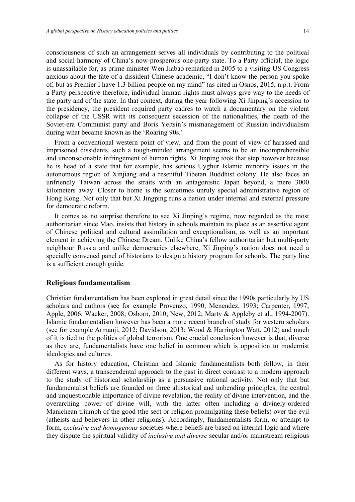consciousness of such an arrangement serves all individuals by contributing to the political and social harmony of China's now-prosperous one-party state. To a Party official, the logic is unassailable for, as prime minister Wen Jiabao remarked in 2005 to a visiting US Congress anxious about the fate of a dissident Chinese academic, "I don't know the person you spoke of, but as Premier I have 1.3 billion people on my mind" (as cited in Osnos, 2015, n.p.). From a Party perspective therefore, individual human rights must always give way to the needs of the party and of the state. In that context, during the year following Xi Jinping's accession to the presidency, the president required party cadres to watch a documentary on the violent collapse of the USSR with its consequent secession of the nationalities, the death of the Soviet-era Communist party and Boris Yeltsin's mismanagement of Russian individualism during what became known as the 'Roaring 90s.'

From a conventional western point of view, and from the point of view of harassed and imprisoned dissidents, such a tough-minded arrangement seems to be an incomprehensible and unconscionable infringement of human rights. Xi Jinping took that step however because he is head of a state that for example, has serious Uyghur Islamic minority issues in the autonomous region of Xinjiang and a resentful Tibetan Buddhist colony. He also faces an unfriendly Taiwan across the straits with an antagonistic Japan beyond, a mere 3000 kilometers away. Closer to home is the sometimes unruly special administrative region of Hong Kong. Not only that but Xi Jingping runs a nation under internal and external pressure for democratic reform.

It comes as no surprise therefore to see Xi Jinping's regime, now regarded as the most authoritarian since Mao, insists that history in schools maintain its place as an assertive agent of Chinese political and cultural assimilation and exceptionalism, as well as an important element in achieving the Chinese Dream. Unlike China's fellow authoritarian but multi-party neighbour Russia and unlike democracies elsewhere, Xi Jinping's nation does not need a specially convened panel of historians to design a history program for schools. The party line is a sufficient enough guide.

#### **Religious fundamentalism**

Christian fundamentalism has been explored in great detail since the 1990s particularly by US scholars and authors (see for example Provenzo, 1990; Menendez, 1993; Carpenter, 1997; Apple, 2006; Wacker, 2008; Osborn, 2010; New, 2012; Marty & Appleby et al., 1994-2007). Islamic fundamentalism however has been a more recent branch of study for western scholars (see for example Armanji, 2012; Davidson, 2013; Wood & Harrington Watt, 2012) and much of it is tied to the politics of global terrorism. One crucial conclusion however is that, diverse as they are, fundamentalists have one belief in common which is opposition to modernist ideologies and cultures.

As for history education, Christian and Islamic fundamentalists both follow, in their different ways, a transcendental approach to the past in direct contrast to a modern approach to the study of historical scholarship as a persuasive rational activity. Not only that but fundamentalist beliefs are founded on three ahistorical and unbending principles, the central and unquestionable importance of divine revelation, the reality of divine intervention, and the overarching power of divine will, with the latter often including a divinely-ordered Manichean triumph of the good (the sect or religion promulgating these beliefs) over the evil (atheists and believers in other religions). Accordingly, fundamentalists form, or attempt to form, *exclusive and homogenous* societies where beliefs are based on internal logic and where they dispute the spiritual validity of *inclusive and diverse* secular and/or mainstream religious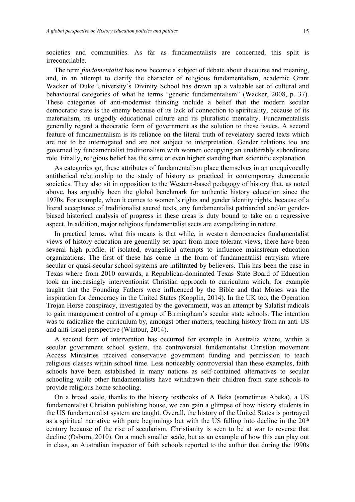societies and communities. As far as fundamentalists are concerned, this split is irreconcilable.

The term *fundamentalist* has now become a subject of debate about discourse and meaning, and, in an attempt to clarify the character of religious fundamentalism, academic Grant Wacker of Duke University's Divinity School has drawn up a valuable set of cultural and behavioural categories of what he terms "generic fundamentalism" (Wacker, 2008, p. 37). These categories of anti-modernist thinking include a belief that the modern secular democratic state is the enemy because of its lack of connection to spirituality, because of its materialism, its ungodly educational culture and its pluralistic mentality. Fundamentalists generally regard a theocratic form of government as the solution to these issues. A second feature of fundamentalism is its reliance on the literal truth of revelatory sacred texts which are not to be interrogated and are not subject to interpretation. Gender relations too are governed by fundamentalist traditionalism with women occupying an unalterably subordinate role. Finally, religious belief has the same or even higher standing than scientific explanation.

As categories go, these attributes of fundamentalism place themselves in an unequivocally antithetical relationship to the study of history as practiced in contemporary democratic societies. They also sit in opposition to the Western-based pedagogy of history that, as noted above, has arguably been the global benchmark for authentic history education since the 1970s. For example, when it comes to women's rights and gender identity rights, because of a literal acceptance of traditionalist sacred texts, any fundamentalist patriarchal and/or genderbiased historical analysis of progress in these areas is duty bound to take on a regressive aspect. In addition, major religious fundamentalist sects are evangelizing in nature.

In practical terms, what this means is that while, in western democracies fundamentalist views of history education are generally set apart from more tolerant views, there have been several high profile, if isolated, evangelical attempts to influence mainstream education organizations. The first of these has come in the form of fundamentalist entryism where secular or quasi-secular school systems are infiltrated by believers. This has been the case in Texas where from 2010 onwards, a Republican-dominated Texas State Board of Education took an increasingly interventionist Christian approach to curriculum which, for example taught that the Founding Fathers were influenced by the Bible and that Moses was the inspiration for democracy in the United States (Kopplin, 2014). In the UK too, the Operation Trojan Horse conspiracy, investigated by the government, was an attempt by Salafist radicals to gain management control of a group of Birmingham's secular state schools. The intention was to radicalize the curriculum by, amongst other matters, teaching history from an anti-US and anti-Israel perspective (Wintour, 2014).

A second form of intervention has occurred for example in Australia where, within a secular government school system, the controversial fundamentalist Christian movement Access Ministries received conservative government funding and permission to teach religious classes within school time. Less noticeably controversial than these examples, faith schools have been established in many nations as self-contained alternatives to secular schooling while other fundamentalists have withdrawn their children from state schools to provide religious home schooling.

On a broad scale, thanks to the history textbooks of A Beka (sometimes Abeka), a US fundamentalist Christian publishing house, we can gain a glimpse of how history students in the US fundamentalist system are taught. Overall, the history of the United States is portrayed as a spiritual narrative with pure beginnings but with the US falling into decline in the  $20<sup>th</sup>$ century because of the rise of secularism. Christianity is seen to be at war to reverse that decline (Osborn, 2010). On a much smaller scale, but as an example of how this can play out in class, an Australian inspector of faith schools reported to the author that during the 1990s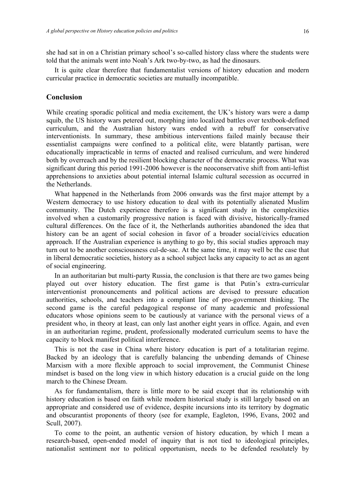she had sat in on a Christian primary school's so-called history class where the students were told that the animals went into Noah's Ark two-by-two, as had the dinosaurs.

It is quite clear therefore that fundamentalist versions of history education and modern curricular practice in democratic societies are mutually incompatible.

# **Conclusion**

While creating sporadic political and media excitement, the UK's history wars were a damp squib, the US history wars petered out, morphing into localized battles over textbook-defined curriculum, and the Australian history wars ended with a rebuff for conservative interventionists. In summary, these ambitious interventions failed mainly because their essentialist campaigns were confined to a political elite, were blatantly partisan, were educationally impracticable in terms of enacted and realised curriculum, and were hindered both by overreach and by the resilient blocking character of the democratic process. What was significant during this period 1991-2006 however is the neoconservative shift from anti-leftist apprehensions to anxieties about potential internal Islamic cultural secession as occurred in the Netherlands.

What happened in the Netherlands from 2006 onwards was the first major attempt by a Western democracy to use history education to deal with its potentially alienated Muslim community. The Dutch experience therefore is a significant study in the complexities involved when a customarily progressive nation is faced with divisive, historically-framed cultural differences. On the face of it, the Netherlands authorities abandoned the idea that history can be an agent of social cohesion in favor of a broader social/civics education approach. If the Australian experience is anything to go by, this social studies approach may turn out to be another consciousness cul-de-sac. At the same time, it may well be the case that in liberal democratic societies, history as a school subject lacks any capacity to act as an agent of social engineering.

In an authoritarian but multi-party Russia, the conclusion is that there are two games being played out over history education. The first game is that Putin's extra-curricular interventionist pronouncements and political actions are devised to pressure education authorities, schools, and teachers into a compliant line of pro-government thinking. The second game is the careful pedagogical response of many academic and professional educators whose opinions seem to be cautiously at variance with the personal views of a president who, in theory at least, can only last another eight years in office. Again, and even in an authoritarian regime, prudent, professionally moderated curriculum seems to have the capacity to block manifest political interference.

This is not the case in China where history education is part of a totalitarian regime. Backed by an ideology that is carefully balancing the unbending demands of Chinese Marxism with a more flexible approach to social improvement, the Communist Chinese mindset is based on the long view in which history education is a crucial guide on the long march to the Chinese Dream.

As for fundamentalism, there is little more to be said except that its relationship with history education is based on faith while modern historical study is still largely based on an appropriate and considered use of evidence, despite incursions into its territory by dogmatic and obscurantist proponents of theory (see for example, Eagleton, 1996, Evans, 2002 and Scull, 2007).

To come to the point, an authentic version of history education, by which I mean a research-based, open-ended model of inquiry that is not tied to ideological principles, nationalist sentiment nor to political opportunism, needs to be defended resolutely by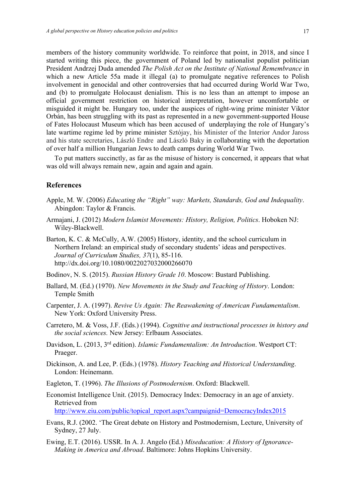members of the history community worldwide. To reinforce that point, in 2018, and since I started writing this piece, the government of Poland led by nationalist populist politician President Andrzej Duda amended *The Polish Act on the Institute of National Remembrance* in which a new Article 55a made it illegal (a) to promulgate negative references to Polish involvement in genocidal and other controversies that had occurred during World War Two, and (b) to promulgate Holocaust denialism. This is no less than an attempt to impose an official government restriction on historical interpretation, however uncomfortable or misguided it might be. Hungary too, under the auspices of right-wing prime minister Viktor Orbán, has been struggling with its past as represented in a new government-supported House of Fates Holocaust Museum which has been accused of underplaying the role of Hungary's late wartime regime led by prime minister Sztójay, his Minister of the Interior Andor Jaross and his state secretaries, László Endre and László Baky in collaborating with the deportation of over half a million Hungarian Jews to death camps during World War Two.

To put matters succinctly, as far as the misuse of history is concerned, it appears that what was old will always remain new, again and again and again.

# **References**

- Apple, M. W. (2006) *Educating the "Right" way: Markets, Standards, God and Indequality*. Abingdon: Taylor & Francis.
- Armajani, J. (2012) *Modern Islamist Movements: History, Religion, Politics*. Hoboken NJ: Wiley-Blackwell.
- Barton, K. C. & McCully, A.W. (2005) History, identity, and the school curriculum in Northern Ireland: an empirical study of secondary students' ideas and perspectives. *Journal of Curriculum Studies, 37*(1), 85-116. http://dx.doi.org/10.1080/0022027032000266070
- Bodinov, N. S. (2015). *Russian History Grade 10*. Moscow: Bustard Publishing.
- Ballard, M. (Ed.) (1970). *New Movements in the Study and Teaching of History*. London: Temple Smith
- Carpenter, J. A. (1997). *Revive Us Again: The Reawakening of American Fundamentalism*. New York: Oxford University Press.
- Carretero, M. & Voss, J.F. (Eds.) (1994). *Cognitive and instructional processes in history and the social sciences.* New Jersey: Erlbaum Associates.
- Davidson, L. (2013, 3rd edition). *Islamic Fundamentalism: An Introduction*. Westport CT: Praeger.
- Dickinson, A. and Lee, P. (Eds.) (1978). *History Teaching and Historical Understanding*. London: Heinemann.
- Eagleton, T. (1996). *The Illusions of Postmodernism*. Oxford: Blackwell.
- Economist Intelligence Unit. (2015). Democracy Index: Democracy in an age of anxiety. Retrieved from

http://www.eiu.com/public/topical\_report.aspx?campaignid=DemocracyIndex2015

- Evans, R.J. (2002. 'The Great debate on History and Postmodernism, Lecture, University of Sydney, 27 July.
- Ewing, E.T. (2016). USSR. In A. J. Angelo (Ed.) *Miseducation: A History of Ignorance-Making in America and Abroad*. Baltimore: Johns Hopkins University.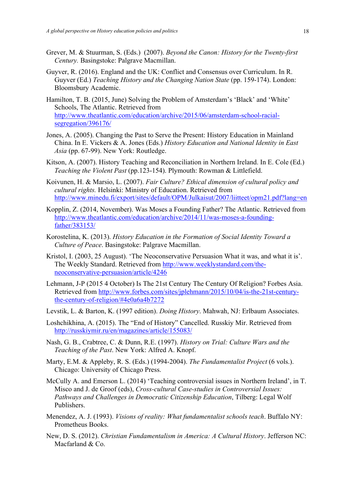- Grever, M. & Stuurman, S. (Eds.) (2007). *Beyond the Canon: History for the Twenty-first Century.* Basingstoke: Palgrave Macmillan.
- Guyver, R. (2016). England and the UK: Conflict and Consensus over Curriculum. In R. Guyver (Ed.) *Teaching History and the Changing Nation State* (pp. 159-174). London: Bloomsbury Academic.
- Hamilton, T. B. (2015, June) Solving the Problem of Amsterdam's 'Black' and 'White' Schools, The Atlantic. Retrieved from http://www.theatlantic.com/education/archive/2015/06/amsterdam-school-racialsegregation/396176/
- Jones, A. (2005). Changing the Past to Serve the Present: History Education in Mainland China. In E. Vickers & A. Jones (Eds.) *History Education and National Identity in East Asia* (pp. 67-99). New York: Routledge.
- Kitson, A. (2007). History Teaching and Reconciliation in Northern Ireland. In E. Cole (Ed.) *Teaching the Violent Past* (pp.123-154). Plymouth: Rowman & Littlefield.
- Koivunen, H. & Marsio, L. (2007). *Fair Culture? Ethical dimension of cultural policy and cultural rights.* Helsinki: Ministry of Education. Retrieved from http://www.minedu.fi/export/sites/default/OPM/Julkaisut/2007/liitteet/opm21.pdf?lang=en
- Kopplin, Z. (2014, November). Was Moses a Founding Father? The Atlantic. Retrieved from http://www.theatlantic.com/education/archive/2014/11/was-moses-a-foundingfather/383153/
- Korostelina, K. (2013). *History Education in the Formation of Social Identity Toward a Culture of Peace*. Basingstoke: Palgrave Macmillan.
- Kristol, I. (2003, 25 August). 'The Neoconservative Persuasion What it was, and what it is'. The Weekly Standard. Retrieved from http://www.weeklystandard.com/theneoconservative-persuasion/article/4246
- Lehmann, J-P (2015 4 October) Is The 21st Century The Century Of Religion? Forbes Asia. Retrieved from http://www.forbes.com/sites/jplehmann/2015/10/04/is-the-21st-centurythe-century-of-religion/#4e0a6a4b7272
- Levstik, L. & Barton, K. (1997 edition). *Doing History*. Mahwah, NJ: Erlbaum Associates.
- Loshchikhina, A. (2015). The "End of History" Cancelled. Russkiy Mir. Retrieved from http://russkiymir.ru/en/magazines/article/155083/
- Nash, G. B., Crabtree, C. & Dunn, R.E. (1997). *History on Trial: Culture Wars and the Teaching of the Past*. New York: Alfred A. Knopf.
- Marty, E.M. & Appleby, R. S. (Eds.) (1994-2004). *The Fundamentalist Project* (6 vols.). Chicago: University of Chicago Press.
- McCully A. and Emerson L. (2014) 'Teaching controversial issues in Northern Ireland', in T. Misco and J. de Groof (eds), *Cross-cultural Case-studies in Controversial Issues: Pathways and Challenges in Democratic Citizenship Education*, Tilberg: Legal Wolf Publishers.
- Menendez, A. J. (1993). *Visions of reality: What fundamentalist schools teach*. Buffalo NY: Prometheus Books.
- New, D. S. (2012). *Christian Fundamentalism in America: A Cultural History*. Jefferson NC: Macfarland & Co.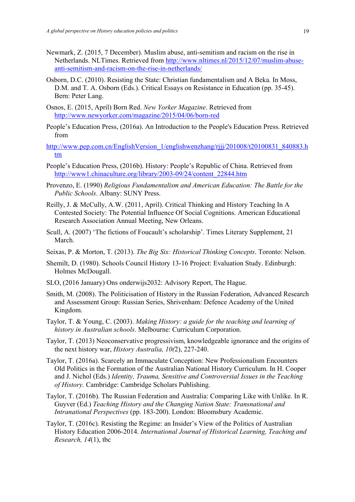- Newmark, Z. (2015, 7 December). Muslim abuse, anti-semitism and racism on the rise in Netherlands. NLTimes. Retrieved from http://www.nltimes.nl/2015/12/07/muslim-abuseanti-semitism-and-racism-on-the-rise-in-netherlands/
- Osborn, D.C. (2010). Resisting the State: Christian fundamentalism and A Beka. In Moss, D.M. and T. A. Osborn (Eds.). Critical Essays on Resistance in Education (pp. 35-45). Bern: Peter Lang.
- Osnos, E. (2015, April) Born Red. *New Yorker Magazine*. Retrieved from http://www.newyorker.com/magazine/2015/04/06/born-red
- People's Education Press, (2016a). An Introduction to the People's Education Press. Retrieved from
- http://www.pep.com.cn/EnglishVersion\_1/englishwenzhang/rjjj/201008/t20100831\_840883.h tm
- People's Education Press, (2016b). History: People's Republic of China. Retrieved from http://www1.chinaculture.org/library/2003-09/24/content\_22844.htm
- Provenzo, E. (1990) *Religious Fundamentalism and American Education: The Battle for the Public Schools*. Albany: SUNY Press.
- Reilly, J. & McCully, A.W. (2011, April). Critical Thinking and History Teaching In A Contested Society: The Potential Influence Of Social Cognitions. American Educational Research Association Annual Meeting, New Orleans.
- Scull, A. (2007) 'The fictions of Foucault's scholarship'. Times Literary Supplement, 21 March.
- Seixas, P. & Morton, T. (2013). *The Big Six: Historical Thinking Concepts*. Toronto: Nelson.
- Shemilt, D. (1980). Schools Council History 13-16 Project: Evaluation Study. Edinburgh: Holmes McDougall.
- SLO, (2016 January) Ons onderwijs2032: Advisory Report, The Hague.
- Smith, M. (2008). The Politicisation of History in the Russian Federation, Advanced Research and Assessment Group: Russian Series, Shrivenham: Defence Academy of the United Kingdom.
- Taylor, T. & Young, C. (2003). *Making History: a guide for the teaching and learning of history in Australian schools*. Melbourne: Curriculum Corporation.
- Taylor, T. (2013) Neoconservative progressivism, knowledgeable ignorance and the origins of the next history war, *History Australia, 10(*2), 227-240.
- Taylor, T. (2016a). Scarcely an Immaculate Conception: New Professionalism Encounters Old Politics in the Formation of the Australian National History Curriculum. In H. Cooper and J. Nichol (Eds.) *Identity, Trauma, Sensitive and Controversial Issues in the Teaching of History.* Cambridge: Cambridge Scholars Publishing.
- Taylor, T. (2016b). The Russian Federation and Australia: Comparing Like with Unlike. In R. Guyver (Ed.) *Teaching History and the Changing Nation State: Transnational and Intranational Perspectives* (pp. 183-200). London: Bloomsbury Academic.
- Taylor, T. (2016c). Resisting the Regime: an Insider's View of the Politics of Australian History Education 2006-2014. *International Journal of Historical Learning, Teaching and Research, 14*(1), tbc